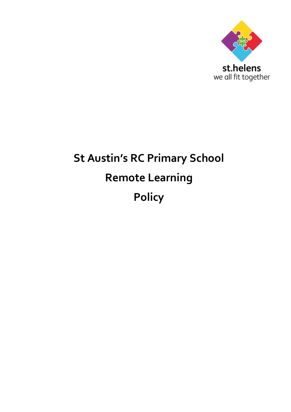

# **St Austin's RC Primary School Remote Learning Policy**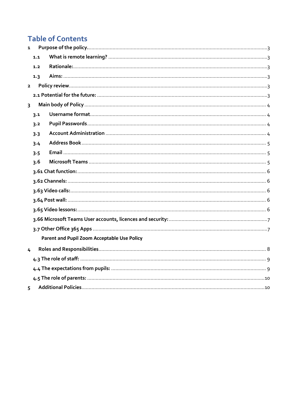# **Table of Contents**

| $\mathbf{1}$   |     |                                             |  |  |  |
|----------------|-----|---------------------------------------------|--|--|--|
|                | 1.1 |                                             |  |  |  |
|                | 1.2 |                                             |  |  |  |
|                | 1.3 |                                             |  |  |  |
| $\overline{2}$ |     |                                             |  |  |  |
|                |     |                                             |  |  |  |
| $\overline{3}$ |     |                                             |  |  |  |
|                | 3.1 |                                             |  |  |  |
|                | 3.2 |                                             |  |  |  |
|                | 3.3 |                                             |  |  |  |
|                | 3.4 |                                             |  |  |  |
|                | 3.5 |                                             |  |  |  |
|                | 3.6 |                                             |  |  |  |
|                |     |                                             |  |  |  |
|                |     |                                             |  |  |  |
|                |     |                                             |  |  |  |
|                |     |                                             |  |  |  |
|                |     |                                             |  |  |  |
|                |     |                                             |  |  |  |
|                |     |                                             |  |  |  |
|                |     | Parent and Pupil Zoom Acceptable Use Policy |  |  |  |
| 4              |     |                                             |  |  |  |
|                |     |                                             |  |  |  |
|                |     |                                             |  |  |  |
|                |     |                                             |  |  |  |
| 5.             |     |                                             |  |  |  |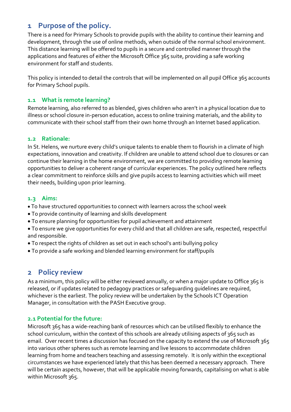### <span id="page-2-0"></span>**1 Purpose of the policy.**

There is a need for Primary Schools to provide pupils with the ability to continue their learning and development, through the use of online methods, when outside of the normal school environment. This distance learning will be offered to pupils in a secure and controlled manner through the applications and features of either the Microsoft Office 365 suite, providing a safe working environment for staff and students.

This policy is intended to detail the controls that will be implemented on all pupil Office 365 accounts for Primary School pupils.

#### <span id="page-2-1"></span>**1.1 What is remote learning?**

Remote learning, also referred to as blended, gives children who aren't in a physical location due to illness or school closure in-person education, access to online training materials, and the ability to communicate with their school staff from their own home through an Internet based application.

#### <span id="page-2-2"></span>**1.2 Rationale:**

In St. Helens, we nurture every child's unique talents to enable them to flourish in a climate of high expectations, innovation and creativity. If children are unable to attend school due to closures or can continue their learning in the home environment, we are committed to providing remote learning opportunities to deliver a coherent range of curricular experiences. The policy outlined here reflects a clear commitment to reinforce skills and give pupils access to learning activities which will meet their needs, building upon prior learning.

#### <span id="page-2-3"></span>**1.3 Aims:**

- To have structured opportunities to connect with learners across the school week
- To provide continuity of learning and skills development
- To ensure planning for opportunities for pupil achievement and attainment
- To ensure we give opportunities for every child and that all children are safe, respected, respectful and responsible.
- To respect the rights of children as set out in each school's anti bullying policy
- To provide a safe working and blended learning environment for staff/pupils

### <span id="page-2-4"></span>**2 Policy review**

As a minimum, this policy will be either reviewed annually, or when a major update to Office 365 is released, or if updates related to pedagogy practices or safeguarding guidelines are required, whichever is the earliest. The policy review will be undertaken by the Schools ICT Operation Manager, in consultation with the PASH Executive group.

#### <span id="page-2-5"></span>**2.1 Potential for the future:**

Microsoft 365 has a wide-reaching bank of resources which can be utilised flexibly to enhance the school curriculum, within the context of this schools are already utilising aspects of 365 such as email. Over recent times a discussion has focused on the capacity to extend the use of Microsoft 365 into various other spheres such as remote learning and live lessons to accommodate children learning from home and teachers teaching and assessing remotely. It is only within the exceptional circumstances we have experienced lately that this has been deemed a necessary approach. There will be certain aspects, however, that will be applicable moving forwards, capitalising on what is able within Microsoft 365.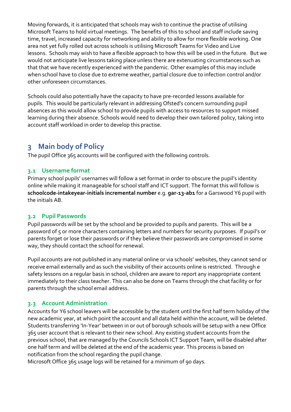Moving forwards, it is anticipated that schools may wish to continue the practise of utilising Microsoft Teams to hold virtual meetings. The benefits of this to school and staff include saving time, travel, increased capacity for networking and ability to allow for more flexible working. One area not yet fully rolled out across schools is utilising Microsoft Teams for Video and Live lessons. Schools may wish to have a flexible approach to how this will be used in the future. But we would not anticipate live lessons taking place unless there are extenuating circumstances such as that that we have recently experienced with the pandemic. Other examples of this may include when school have to close due to extreme weather, partial closure due to infection control and/or other unforeseen circumstances.

Schools could also potentially have the capacity to have pre-recorded lessons available for pupils. This would be particularly relevant in addressing Ofsted's concern surrounding pupil absences as this would allow school to provide pupils with access to resources to support missed learning during their absence. Schools would need to develop their own tailored policy, taking into account staff workload in order to develop this practise.

### <span id="page-3-0"></span>**3 Main body of Policy**

The pupil Office 365 accounts will be configured with the following controls.

#### <span id="page-3-1"></span>**3.1 Username format**

Primary school pupils' usernames will follow a set format in order to obscure the pupil's identity online while making it manageable for school staff and ICT support. The format this will follow is **schoolcode-intakeyear-initials incremental number** e.g. **gar-13-ab1** for a Garswood Y6 pupil with the initials AB.

#### <span id="page-3-2"></span>**3.2 Pupil Passwords**

Pupil passwords will be set by the school and be provided to pupils and parents. This will be a password of 5 or more characters containing letters and numbers for security purposes. If pupil's or parents forget or lose their passwords or if they believe their passwords are compromised in some way, they should contact the school for renewal.

Pupil accounts are not published in any material online or via schools' websites, they cannot send or receive email externally and as such the visibility of their accounts online is restricted. Through e safety lessons on a regular basis in school, children are aware to report any inappropriate content immediately to their class teacher. This can also be done on Teams through the chat facility or for parents through the school email address.

#### <span id="page-3-3"></span>**3.3 Account Administration**

Accounts for Y6 school leavers will be accessible by the student until the first half term holiday of the new academic year, at which point the account and all data held within the account, will be deleted. Students transferring 'In-Year' between in or out of borough schools will be setup with a new Office 365 user account that is relevant to their new school. Any existing student accounts from the previous school, that are managed by the Councils Schools ICT Support Team, will be disabled after one half term and will be deleted at the end of the academic year. This process is based on notification from the school regarding the pupil change.

Microsoft Office 365 usage logs will be retained for a minimum of 90 days.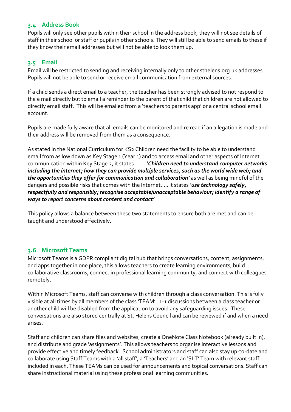#### <span id="page-4-0"></span>**3.4 Address Book**

Pupils will only see other pupils within their school in the address book, they will not see details of staff in their school or staff or pupils in other schools. They will still be able to send emails to these if they know their email addresses but will not be able to look them up.

#### <span id="page-4-1"></span>**3.5 Email**

Email will be restricted to sending and receiving internally only to other sthelens.org.uk addresses. Pupils will not be able to send or receive email communication from external sources.

If a child sends a direct email to a teacher, the teacher has been strongly advised to not respond to the e mail directly but to email a reminder to the parent of that child that children are not allowed to directly email staff. This will be emailed from a 'teachers to parents app' or a central school email account.

Pupils are made fully aware that all emails can be monitored and re read if an allegation is made and their address will be removed from them as a consequence.

As stated in the National Curriculum for KS2 Children need the facility to be able to understand email from as low down as Key Stage 1 (Year 1) and to access email and other aspects of Internet communication within Key Stage 2, it states…… *'Children need to understand computer networks including the internet; how they can provide multiple services, such as the world wide web; and the opportunities they offer for communication and collaboration'* as well as being mindful of the dangers and possible risks that comes with the Internet….. it states *'use technology safely, respectfully and responsibly; recognise acceptable/unacceptable behaviour; identify a range of ways to report concerns about content and contact'*

This policy allows a balance between these two statements to ensure both are met and can be taught and understood effectively.

#### <span id="page-4-2"></span>**3.6 Microsoft Teams**

Microsoft Teams is a GDPR compliant digital hub that brings conversations, content, assignments, and apps together in one place, this allows teachers to create learning environments, build collaborative classrooms, connect in professional learning community, and connect with colleagues remotely.

Within Microsoft Teams, staff can converse with children through a class conversation. This is fully visible at all times by all members of the class 'TEAM'. 1-1 discussions between a class teacher or another child will be disabled from the application to avoid any safeguarding issues. These conversations are also stored centrally at St. Helens Council and can be reviewed if and when a need arises.

Staff and children can share files and websites, create a OneNote Class Notebook (already built in), and distribute and grade 'assignments'. This allows teachers to organise interactive lessons and provide effective and timely feedback. School administrators and staff can also stay up-to-date and collaborate using Staff Teams with a 'all staff', a 'Teachers' and an 'SLT' Team with relevant staff included in each. These TEAMs can be used for announcements and topical conversations. Staff can share instructional material using these professional learning communities.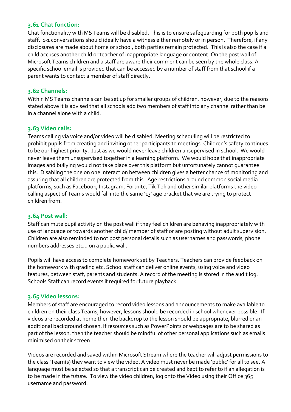#### <span id="page-5-0"></span>**3.61 Chat function:**

Chat functionality with MS Teams will be disabled. This is to ensure safeguarding for both pupils and staff. 1-1 conversations should ideally have a witness either remotely or in person. Therefore, if any disclosures are made about home or school, both parties remain protected. This is also the case if a child accuses another child or teacher of inappropriate language or content. On the post wall of Microsoft Teams children and a staff are aware their comment can be seen by the whole class. A specific school email is provided that can be accessed by a number of staff from that school if a parent wants to contact a member of staff directly.

#### <span id="page-5-1"></span>**3.62 Channels:**

Within MS Teams channels can be set up for smaller groups of children, however, due to the reasons stated above it is advised that all schools add two members of staff into any channel rather than be in a channel alone with a child.

#### <span id="page-5-2"></span>**3.63 Video calls:**

Teams calling via voice and/or video will be disabled. Meeting scheduling will be restricted to prohibit pupils from creating and inviting other participants to meetings. Children's safety continues to be our highest priority. Just as we would never leave children unsupervised in school. We would never leave them unsupervised together in a learning platform. We would hope that inappropriate images and bullying would not take place over this platform but unfortunately cannot guarantee this. Disabling the one on one interaction between children gives a better chance of monitoring and assuring that all children are protected from this. Age restrictions around common social media platforms, such as Facebook, Instagram, Fortnite, Tik Tok and other similar platforms the video calling aspect of Teams would fall into the same '13' age bracket that we are trying to protect children from.

#### <span id="page-5-3"></span>**3.64 Post wall:**

Staff can mute pupil activity on the post wall if they feel children are behaving inappropriately with use of language or towards another child/ member of staff or are posting without adult supervision. Children are also reminded to not post personal details such as usernames and passwords, phone numbers addresses etc… on a public wall.

Pupils will have access to complete homework set by Teachers. Teachers can provide feedback on the homework with grading etc. School staff can deliver online events, using voice and video features, between staff, parents and students. A record of the meeting is stored in the audit log. Schools Staff can record events if required for future playback.

#### <span id="page-5-4"></span>**3.65 Video lessons:**

Members of staff are encouraged to record video lessons and announcements to make available to children on their class Teams, however, lessons should be recorded in school whenever possible. If videos are recorded at home then the backdrop to the lesson should be appropriate, blurred or an additional background chosen. If resources such as PowerPoints or webpages are to be shared as part of the lesson, then the teacher should be mindful of other personal applications such as emails minimised on their screen.

Videos are recorded and saved within Microsoft Stream where the teacher will adjust permissions to the class 'Team(s) they want to view the video. A video must never be made 'public' for all to see. A language must be selected so that a transcript can be created and kept to refer to if an allegation is to be made in the future. To view the video children, log onto the Video using their Office 365 username and password.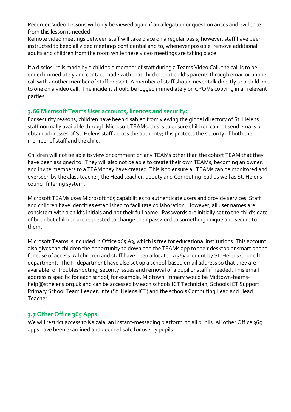Recorded Video Lessons will only be viewed again if an allegation or question arises and evidence from this lesson is needed.

Remote video meetings between staff will take place on a regular basis, however, staff have been instructed to keep all video meetings confidential and to, whenever possible, remove additional adults and children from the room while these video meetings are taking place.

If a disclosure is made by a child to a member of staff during a Teams Video Call, the call is to be ended immediately and contact made with that child or that child's parents through email or phone call with another member of staff present. A member of staff should never talk directly to a child one to one on a video call. The incident should be logged immediately on CPOMs copying in all relevant parties.

#### <span id="page-6-0"></span>**3.66 Microsoft Teams User accounts, licences and security:**

For security reasons, children have been disabled from viewing the global directory of St. Helens staff normally available through Microsoft TEAMs, this is to ensure children cannot send emails or obtain addresses of St. Helens staff across the authority; this protects the security of both the member of staff and the child.

Children will not be able to view or comment on any TEAMs other than the cohort TEAM that they have been assigned to. They will also not be able to create their own TEAMs, becoming an owner, and invite members to a TEAM they have created. This is to ensure all TEAMs can be monitored and overseen by the class teacher, the Head teacher, deputy and Computing lead as well as St. Helens council filtering system.

Microsoft TEAMs uses Microsoft 365 capabilities to authenticate users and provide services. Staff and children have identities established to facilitate collaboration. However, all user names are consistent with a child's initials and not their full name. Passwords are initially set to the child's date of birth but children are requested to change their password to something unique and secure to them.

Microsoft Teams is included in Office 365 A3, which is free for educational institutions. This account also gives the children the opportunity to download the TEAMs app to their desktop or smart phone for ease of access. All children and staff have been allocated a 365 account by St. Helens Council IT department. The IT department have also set up a school-based email address so that they are available for troubleshooting, security issues and removal of a pupil or staff if needed. This email address is specific for each school, for example, Midtown Primary would be Midtown-teamshelp@sthelens.org.uk and can be accessed by each schools ICT Technician, Schools ICT Support Primary School Team Leader, Infe (St. Helens ICT) and the schools Computing Lead and Head Teacher.

#### <span id="page-6-1"></span>**3.7 Other Office 365 Apps**

<span id="page-6-2"></span>We will restrict access to Kaizala, an instant-messaging platform, to all pupils. All other Office 365 apps have been examined and deemed safe for use by pupils.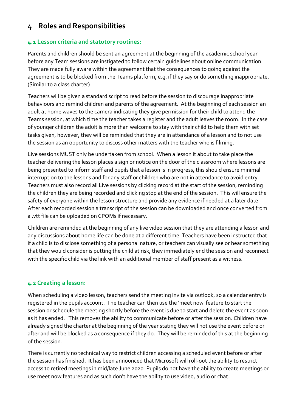### **4 Roles and Responsibilities**

#### **4.1 Lesson criteria and statutory routines:**

Parents and children should be sent an agreement at the beginning of the academic school year before any Team sessions are instigated to follow certain guidelines about online communication. They are made fully aware within the agreement that the consequences to going against the agreement is to be blocked from the Teams platform, e.g. if they say or do something inappropriate. (Similar to a class charter)

Teachers will be given a standard script to read before the session to discourage inappropriate behaviours and remind children and parents of the agreement. At the beginning of each session an adult at home waves to the camera indicating they give permission for their child to attend the Teams session, at which time the teacher takes a register and the adult leaves the room. In the case of younger children the adult is more than welcome to stay with their child to help them with set tasks given, however, they will be reminded that they are in attendance of a lesson and to not use the session as an opportunity to discuss other matters with the teacher who is filming.

Live sessions MUST only be undertaken from school. When a lesson it about to take place the teacher delivering the lesson places a sign or notice on the door of the classroom where lessons are being presented to inform staff and pupils that a lesson is in progress, this should ensure minimal interruption to the lessons and for any staff or children who are not in attendance to avoid entry. Teachers must also record all Live sessions by clicking record at the start of the session, reminding the children they are being recorded and clicking stop at the end of the session. This will ensure the safety of everyone within the lesson structure and provide any evidence if needed at a later date. After each recorded session a transcript of the session can be downloaded and once converted from a .vtt file can be uploaded on CPOMs if necessary.

Children are reminded at the beginning of any live video session that they are attending a lesson and any discussions about home life can be done at a different time. Teachers have been instructed that if a child is to disclose something of a personal nature, or teachers can visually see or hear something that they would consider is putting the child at risk, they immediately end the session and reconnect with the specific child via the link with an additional member of staff present as a witness.

#### **4.2 Creating a lesson:**

When scheduling a video lesson, teachers send the meeting invite via outlook, so a calendar entry is registered in the pupils account. The teacher can then use the 'meet now' feature to start the session or schedule the meeting shortly before the event is due to start and delete the event as soon as it has ended. This removes the ability to communicate before or after the session. Children have already signed the charter at the beginning of the year stating they will not use the event before or after and will be blocked as a consequence if they do. They will be reminded of this at the beginning of the session.

There is currently no technical way to restrict children accessing a scheduled event before or after the session has finished. It has been announced that Microsoft will roll-out the ability to restrict access to retired meetings in mid/late June 2020. Pupils do not have the ability to create meetings or use meet now features and as such don't have the ability to use video, audio or chat.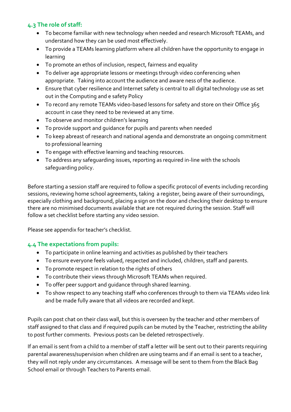#### <span id="page-8-0"></span>**4.3 The role of staff:**

- To become familiar with new technology when needed and research Microsoft TEAMs, and understand how they can be used most effectively.
- To provide a TEAMs learning platform where all children have the opportunity to engage in learning
- To promote an ethos of inclusion, respect, fairness and equality
- To deliver age appropriate lessons or meetings through video conferencing when appropriate. Taking into account the audience and aware ness of the audience.
- Ensure that cyber resilience and Internet safety is central to all digital technology use as set out in the Computing and e safety Policy
- To record any remote TEAMs video-based lessons for safety and store on their Office 365 account in case they need to be reviewed at any time.
- To observe and monitor children's learning
- To provide support and guidance for pupils and parents when needed
- To keep abreast of research and national agenda and demonstrate an ongoing commitment to professional learning
- To engage with effective learning and teaching resources.
- To address any safeguarding issues, reporting as required in-line with the schools safeguarding policy.

Before starting a session staff are required to follow a specific protocol of events including recording sessions, reviewing home school agreements, taking a register, being aware of their surroundings, especially clothing and background, placing a sign on the door and checking their desktop to ensure there are no minimised documents available that are not required during the session. Staff will follow a set checklist before starting any video session.

Please see appendix for teacher's checklist.

#### <span id="page-8-1"></span>**4.4 The expectations from pupils:**

- To participate in online learning and activities as published by their teachers
- To ensure everyone feels valued, respected and included, children, staff and parents.
- To promote respect in relation to the rights of others
- To contribute their views through Microsoft TEAMs when required.
- To offer peer support and guidance through shared learning.
- To show respect to any teaching staff who conferences through to them via TEAMs video link and be made fully aware that all videos are recorded and kept.

Pupils can post chat on their class wall, but this is overseen by the teacher and other members of staff assigned to that class and if required pupils can be muted by the Teacher, restricting the ability to post further comments. Previous posts can be deleted retrospectively.

If an email is sent from a child to a member of staff a letter will be sent out to their parents requiring parental awareness/supervision when children are using teams and if an email is sent to a teacher, they will not reply under any circumstances. A message will be sent to them from the Black Bag School email or through Teachers to Parents email.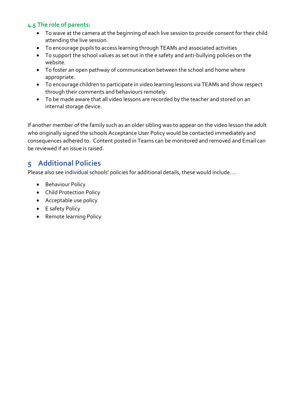#### <span id="page-9-0"></span>**4.5 The role of parents:**

- To wave at the camera at the beginning of each live session to provide consent for their child attending the live session.
- To encourage pupils to access learning through TEAMs and associated activities
- To support the school values as set out in the e safety and anti-bullying policies on the website.
- To foster an open pathway of communication between the school and home where appropriate.
- To encourage children to participate in video learning lessons via TEAMs and show respect through their comments and behaviours remotely.
- To be made aware that all video lessons are recorded by the teacher and stored on an internal storage device.

If another member of the family such as an older sibling was to appear on the video lesson the adult who originally signed the schools Acceptance User Policy would be contacted immediately and consequences adhered to. Content posted in Teams can be monitored and removed and Email can be reviewed if an issue is raised.

### <span id="page-9-1"></span>**5 Additional Policies**

Please also see individual schools' policies for additional details, these would include….

- Behaviour Policy
- Child Protection Policy
- Acceptable use policy
- E safety Policy
- Remote learning Policy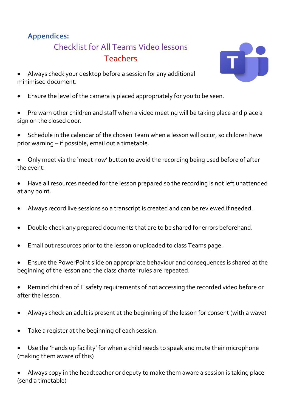## **Appendices:**

# Checklist for All Teams Video lessons Teachers



- Always check your desktop before a session for any additional minimised document.
- Ensure the level of the camera is placed appropriately for you to be seen.
- Pre warn other children and staff when a video meeting will be taking place and place a sign on the closed door.
- Schedule in the calendar of the chosen Team when a lesson will occur, so children have prior warning – if possible, email out a timetable.
- Only meet via the 'meet now' button to avoid the recording being used before of after the event.
- Have all resources needed for the lesson prepared so the recording is not left unattended at any point.
- Always record live sessions so a transcript is created and can be reviewed if needed.
- Double check any prepared documents that are to be shared for errors beforehand.
- Email out resources prior to the lesson or uploaded to class Teams page.
- Ensure the PowerPoint slide on appropriate behaviour and consequences is shared at the beginning of the lesson and the class charter rules are repeated.
- Remind children of E safety requirements of not accessing the recorded video before or after the lesson.
- Always check an adult is present at the beginning of the lesson for consent (with a wave)
- Take a register at the beginning of each session.
- Use the 'hands up facility' for when a child needs to speak and mute their microphone (making them aware of this)
- Always copy in the headteacher or deputy to make them aware a session is taking place (send a timetable)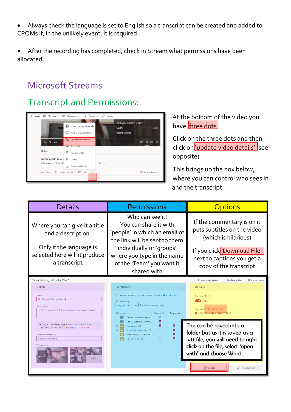• Always check the language is set to English so a transcript can be created and added to CPOMs if, in the unlikely event, it is required.

• After the recording has completed, check in Stream what permissions have been allocated.

# Microsoft Streams

# Transcript and Permissions:



#### At the bottom of the video you have three dots

Click on the three dots and then click on <u>'update video details'</u> (see opposite)

This brings up the box below, where you can control who sees in and the transcript.

| <b>Details</b>                                                                                                                                                                                                                                                                                                    | <b>Permissions</b>                                                                                                                                                                                                                                                                                                                                                                                                                                                                                                                     | <b>Options</b>                                                                                                                                                                                                                                                               |  |
|-------------------------------------------------------------------------------------------------------------------------------------------------------------------------------------------------------------------------------------------------------------------------------------------------------------------|----------------------------------------------------------------------------------------------------------------------------------------------------------------------------------------------------------------------------------------------------------------------------------------------------------------------------------------------------------------------------------------------------------------------------------------------------------------------------------------------------------------------------------------|------------------------------------------------------------------------------------------------------------------------------------------------------------------------------------------------------------------------------------------------------------------------------|--|
| Where you can give it a title<br>and a description.<br>Only if the language is<br>selected here will it produce<br>a transcript                                                                                                                                                                                   | Who can see it!<br>You can share it with<br>'people' in which an email of<br>the link will be sent to them<br>individually or 'groups'<br>where you type in the name<br>of the 'Team' you want it<br>shared with                                                                                                                                                                                                                                                                                                                       | If the commentary is on it<br>puts subtitles on the video<br>(which is hilarious)<br>If you click 'Download File'<br>next to captions you get a<br>copy of the transcript                                                                                                    |  |
| Editing "Meeting with Lesley Moon"                                                                                                                                                                                                                                                                                |                                                                                                                                                                                                                                                                                                                                                                                                                                                                                                                                        | ↓ Download video<br>m Delete video<br>不 Replace video                                                                                                                                                                                                                        |  |
| <b>Details</b><br>Name<br>Meeting with Lesley Moon<br><b>Description</b><br>Create a description for your video, including #hashtags<br>Setting a video language enables automatic closed<br>×<br>captioning for supported languages. Learn more<br>Video Language <sup>1</sup><br>Select a language<br>Thumbnail | <b>Permissions</b><br>Allow everyone in your company to view this video $\odot$<br>П.<br>Share with $\odot$<br>Search for your groups<br>My groups<br>$\checkmark$<br>Viewers $\odot$<br>Owner <sup>(1)</sup><br>Display $\odot$<br>Lesley Moon (Lesley.M<br>◛<br>Lesley Moon (Lesley.M<br>$\overline{\mathcal{L}}$<br>☑<br>Garswood SLT<br>$\overline{\phantom{a}}$<br>п<br>Year 1 Mrs Meehan's Cl<br>$\times$<br>ø<br>$\Box$<br>$\times$<br>Garswood 2019 Intake<br>$\Box$<br>$\overline{\mathbf{v}}$<br>$\times$<br>Gar 2019 Intake | <b>Options</b><br>Comments @<br>On<br>Captions <sup>O</sup> Download file<br>This can be saved into a<br>folder but as it is saved as a<br>.vtt file, you will need to right<br>click on the file, select 'open<br>with' and choose Word.<br>$\sqrt{2}$ Share<br>V Published |  |